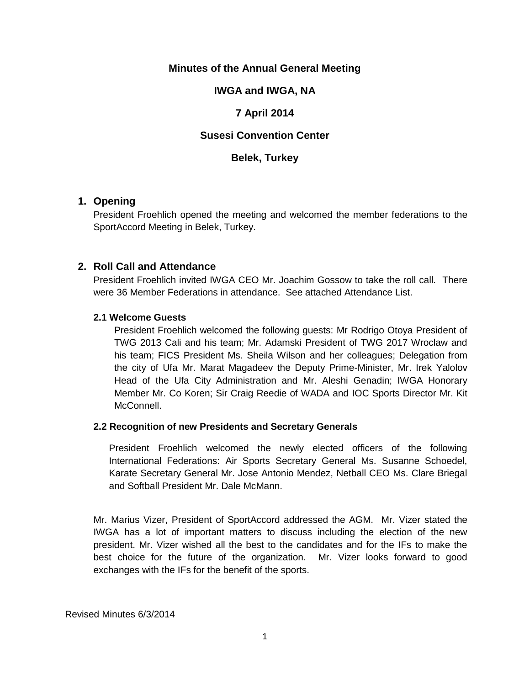## **Minutes of the Annual General Meeting**

## **IWGA and IWGA, NA**

## **7 April 2014**

# **Susesi Convention Center**

### **Belek, Turkey**

## **1. Opening**

President Froehlich opened the meeting and welcomed the member federations to the SportAccord Meeting in Belek, Turkey.

## **2. Roll Call and Attendance**

President Froehlich invited IWGA CEO Mr. Joachim Gossow to take the roll call. There were 36 Member Federations in attendance. See attached Attendance List.

#### **2.1 Welcome Guests**

President Froehlich welcomed the following guests: Mr Rodrigo Otoya President of TWG 2013 Cali and his team; Mr. Adamski President of TWG 2017 Wroclaw and his team; FICS President Ms. Sheila Wilson and her colleagues; Delegation from the city of Ufa Mr. Marat Magadeev the Deputy Prime-Minister, Mr. Irek Yalolov Head of the Ufa City Administration and Mr. Aleshi Genadin; IWGA Honorary Member Mr. Co Koren; Sir Craig Reedie of WADA and IOC Sports Director Mr. Kit McConnell.

#### **2.2 Recognition of new Presidents and Secretary Generals**

President Froehlich welcomed the newly elected officers of the following International Federations: Air Sports Secretary General Ms. Susanne Schoedel, Karate Secretary General Mr. Jose Antonio Mendez, Netball CEO Ms. Clare Briegal and Softball President Mr. Dale McMann.

Mr. Marius Vizer, President of SportAccord addressed the AGM. Mr. Vizer stated the IWGA has a lot of important matters to discuss including the election of the new president. Mr. Vizer wished all the best to the candidates and for the IFs to make the best choice for the future of the organization. Mr. Vizer looks forward to good exchanges with the IFs for the benefit of the sports.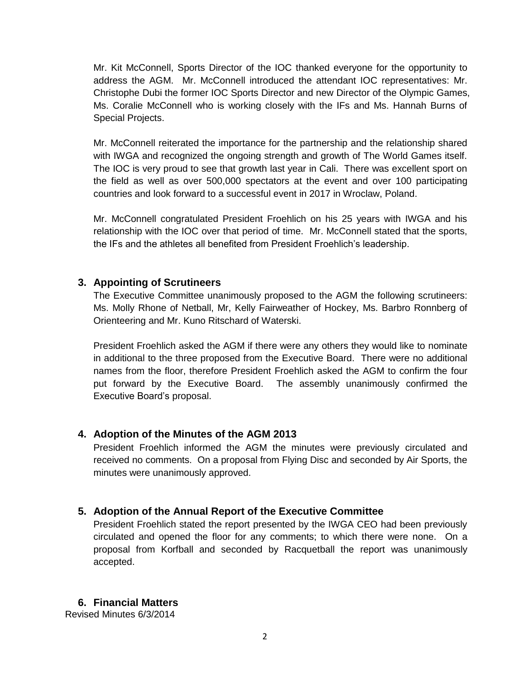Mr. Kit McConnell, Sports Director of the IOC thanked everyone for the opportunity to address the AGM. Mr. McConnell introduced the attendant IOC representatives: Mr. Christophe Dubi the former IOC Sports Director and new Director of the Olympic Games, Ms. Coralie McConnell who is working closely with the IFs and Ms. Hannah Burns of Special Projects.

Mr. McConnell reiterated the importance for the partnership and the relationship shared with IWGA and recognized the ongoing strength and growth of The World Games itself. The IOC is very proud to see that growth last year in Cali. There was excellent sport on the field as well as over 500,000 spectators at the event and over 100 participating countries and look forward to a successful event in 2017 in Wroclaw, Poland.

Mr. McConnell congratulated President Froehlich on his 25 years with IWGA and his relationship with the IOC over that period of time. Mr. McConnell stated that the sports, the IFs and the athletes all benefited from President Froehlich's leadership.

# **3. Appointing of Scrutineers**

The Executive Committee unanimously proposed to the AGM the following scrutineers: Ms. Molly Rhone of Netball, Mr, Kelly Fairweather of Hockey, Ms. Barbro Ronnberg of Orienteering and Mr. Kuno Ritschard of Waterski.

President Froehlich asked the AGM if there were any others they would like to nominate in additional to the three proposed from the Executive Board. There were no additional names from the floor, therefore President Froehlich asked the AGM to confirm the four put forward by the Executive Board. The assembly unanimously confirmed the Executive Board's proposal.

# **4. Adoption of the Minutes of the AGM 2013**

President Froehlich informed the AGM the minutes were previously circulated and received no comments. On a proposal from Flying Disc and seconded by Air Sports, the minutes were unanimously approved.

# **5. Adoption of the Annual Report of the Executive Committee**

President Froehlich stated the report presented by the IWGA CEO had been previously circulated and opened the floor for any comments; to which there were none. On a proposal from Korfball and seconded by Racquetball the report was unanimously accepted.

# **6. Financial Matters**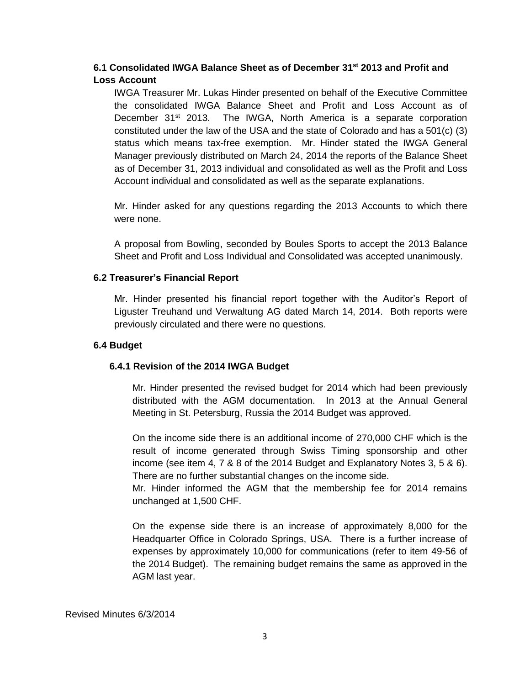# **6.1 Consolidated IWGA Balance Sheet as of December 31st 2013 and Profit and Loss Account**

IWGA Treasurer Mr. Lukas Hinder presented on behalf of the Executive Committee the consolidated IWGA Balance Sheet and Profit and Loss Account as of December 31<sup>st</sup> 2013. The IWGA, North America is a separate corporation constituted under the law of the USA and the state of Colorado and has a 501(c) (3) status which means tax-free exemption. Mr. Hinder stated the IWGA General Manager previously distributed on March 24, 2014 the reports of the Balance Sheet as of December 31, 2013 individual and consolidated as well as the Profit and Loss Account individual and consolidated as well as the separate explanations.

Mr. Hinder asked for any questions regarding the 2013 Accounts to which there were none.

A proposal from Bowling, seconded by Boules Sports to accept the 2013 Balance Sheet and Profit and Loss Individual and Consolidated was accepted unanimously.

### **6.2 Treasurer's Financial Report**

Mr. Hinder presented his financial report together with the Auditor's Report of Liguster Treuhand und Verwaltung AG dated March 14, 2014. Both reports were previously circulated and there were no questions.

#### **6.4 Budget**

### **6.4.1 Revision of the 2014 IWGA Budget**

Mr. Hinder presented the revised budget for 2014 which had been previously distributed with the AGM documentation. In 2013 at the Annual General Meeting in St. Petersburg, Russia the 2014 Budget was approved.

On the income side there is an additional income of 270,000 CHF which is the result of income generated through Swiss Timing sponsorship and other income (see item 4, 7 & 8 of the 2014 Budget and Explanatory Notes 3, 5 & 6). There are no further substantial changes on the income side.

Mr. Hinder informed the AGM that the membership fee for 2014 remains unchanged at 1,500 CHF.

On the expense side there is an increase of approximately 8,000 for the Headquarter Office in Colorado Springs, USA. There is a further increase of expenses by approximately 10,000 for communications (refer to item 49-56 of the 2014 Budget). The remaining budget remains the same as approved in the AGM last year.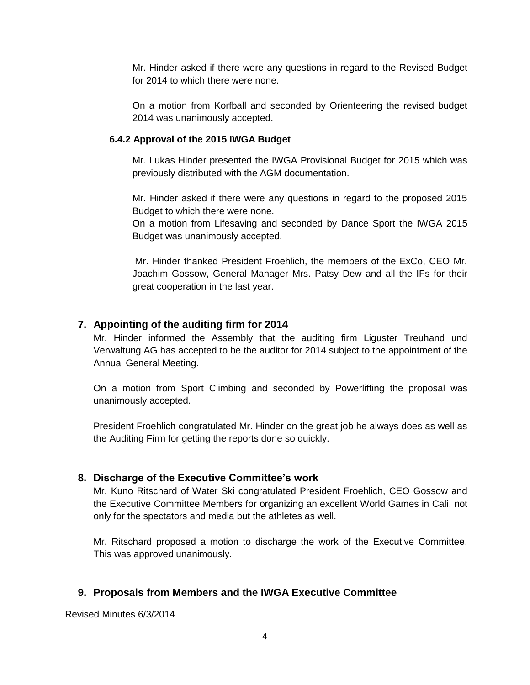Mr. Hinder asked if there were any questions in regard to the Revised Budget for 2014 to which there were none.

On a motion from Korfball and seconded by Orienteering the revised budget 2014 was unanimously accepted.

### **6.4.2 Approval of the 2015 IWGA Budget**

Mr. Lukas Hinder presented the IWGA Provisional Budget for 2015 which was previously distributed with the AGM documentation.

Mr. Hinder asked if there were any questions in regard to the proposed 2015 Budget to which there were none.

On a motion from Lifesaving and seconded by Dance Sport the IWGA 2015 Budget was unanimously accepted.

Mr. Hinder thanked President Froehlich, the members of the ExCo, CEO Mr. Joachim Gossow, General Manager Mrs. Patsy Dew and all the IFs for their great cooperation in the last year.

## **7. Appointing of the auditing firm for 2014**

Mr. Hinder informed the Assembly that the auditing firm Liguster Treuhand und Verwaltung AG has accepted to be the auditor for 2014 subject to the appointment of the Annual General Meeting.

On a motion from Sport Climbing and seconded by Powerlifting the proposal was unanimously accepted.

President Froehlich congratulated Mr. Hinder on the great job he always does as well as the Auditing Firm for getting the reports done so quickly.

### **8. Discharge of the Executive Committee's work**

Mr. Kuno Ritschard of Water Ski congratulated President Froehlich, CEO Gossow and the Executive Committee Members for organizing an excellent World Games in Cali, not only for the spectators and media but the athletes as well.

Mr. Ritschard proposed a motion to discharge the work of the Executive Committee. This was approved unanimously.

### **9. Proposals from Members and the IWGA Executive Committee**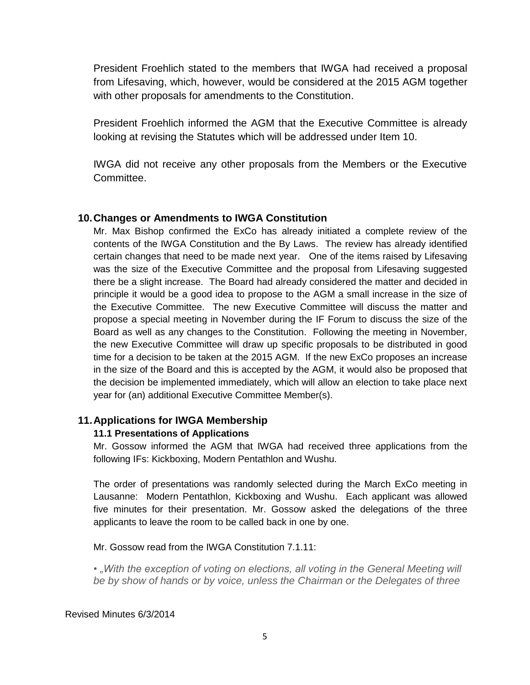President Froehlich stated to the members that IWGA had received a proposal from Lifesaving, which, however, would be considered at the 2015 AGM together with other proposals for amendments to the Constitution.

President Froehlich informed the AGM that the Executive Committee is already looking at revising the Statutes which will be addressed under Item 10.

IWGA did not receive any other proposals from the Members or the Executive Committee.

# **10.Changes or Amendments to IWGA Constitution**

Mr. Max Bishop confirmed the ExCo has already initiated a complete review of the contents of the IWGA Constitution and the By Laws. The review has already identified certain changes that need to be made next year. One of the items raised by Lifesaving was the size of the Executive Committee and the proposal from Lifesaving suggested there be a slight increase. The Board had already considered the matter and decided in principle it would be a good idea to propose to the AGM a small increase in the size of the Executive Committee. The new Executive Committee will discuss the matter and propose a special meeting in November during the IF Forum to discuss the size of the Board as well as any changes to the Constitution. Following the meeting in November, the new Executive Committee will draw up specific proposals to be distributed in good time for a decision to be taken at the 2015 AGM. If the new ExCo proposes an increase in the size of the Board and this is accepted by the AGM, it would also be proposed that the decision be implemented immediately, which will allow an election to take place next year for (an) additional Executive Committee Member(s).

### **11.Applications for IWGA Membership**

### **11.1 Presentations of Applications**

Mr. Gossow informed the AGM that IWGA had received three applications from the following IFs: Kickboxing, Modern Pentathlon and Wushu.

The order of presentations was randomly selected during the March ExCo meeting in Lausanne: Modern Pentathlon, Kickboxing and Wushu. Each applicant was allowed five minutes for their presentation. Mr. Gossow asked the delegations of the three applicants to leave the room to be called back in one by one.

Mr. Gossow read from the IWGA Constitution 7.1.11:

• *"With the exception of voting on elections, all voting in the General Meeting will be by show of hands or by voice, unless the Chairman or the Delegates of three*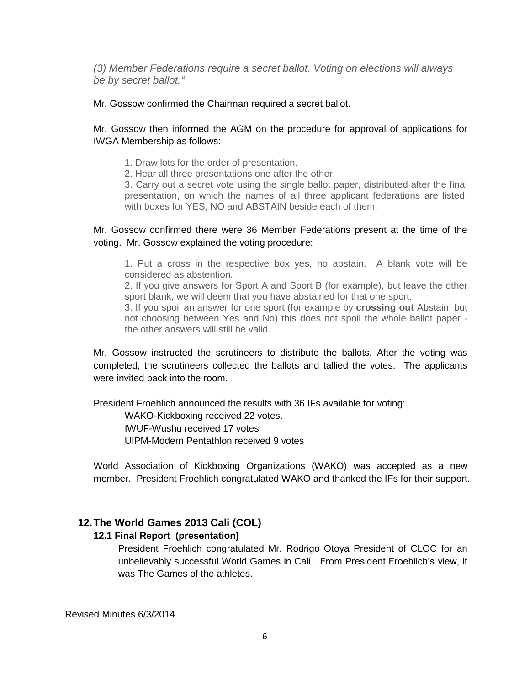*(3) Member Federations require a secret ballot. Voting on elections will always be by secret ballot."*

Mr. Gossow confirmed the Chairman required a secret ballot.

## Mr. Gossow then informed the AGM on the procedure for approval of applications for IWGA Membership as follows:

1. Draw lots for the order of presentation.

2. Hear all three presentations one after the other.

3. Carry out a secret vote using the single ballot paper, distributed after the final presentation, on which the names of all three applicant federations are listed, with boxes for YES, NO and ABSTAIN beside each of them.

## Mr. Gossow confirmed there were 36 Member Federations present at the time of the voting. Mr. Gossow explained the voting procedure:

1. Put a cross in the respective box yes, no abstain. A blank vote will be considered as abstention.

2. If you give answers for Sport A and Sport B (for example), but leave the other sport blank, we will deem that you have abstained for that one sport.

3. If you spoil an answer for one sport (for example by **crossing out** Abstain, but not choosing between Yes and No) this does not spoil the whole ballot paper the other answers will still be valid.

Mr. Gossow instructed the scrutineers to distribute the ballots. After the voting was completed, the scrutineers collected the ballots and tallied the votes. The applicants were invited back into the room.

President Froehlich announced the results with 36 IFs available for voting:

WAKO-Kickboxing received 22 votes.

IWUF-Wushu received 17 votes

UIPM-Modern Pentathlon received 9 votes

World Association of Kickboxing Organizations (WAKO) was accepted as a new member. President Froehlich congratulated WAKO and thanked the IFs for their support.

# **12.The World Games 2013 Cali (COL)**

### **12.1 Final Report (presentation)**

President Froehlich congratulated Mr. Rodrigo Otoya President of CLOC for an unbelievably successful World Games in Cali. From President Froehlich's view, it was The Games of the athletes.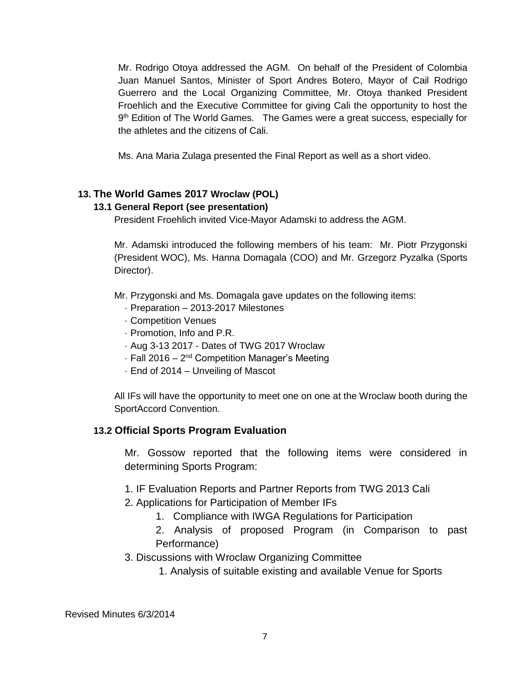Mr. Rodrigo Otoya addressed the AGM. On behalf of the President of Colombia Juan Manuel Santos, Minister of Sport Andres Botero, Mayor of Cail Rodrigo Guerrero and the Local Organizing Committee, Mr. Otoya thanked President Froehlich and the Executive Committee for giving Cali the opportunity to host the 9<sup>th</sup> Edition of The World Games. The Games were a great success, especially for the athletes and the citizens of Cali.

Ms. Ana Maria Zulaga presented the Final Report as well as a short video.

# **13. The World Games 2017 Wroclaw (POL)**

# **13.1 General Report (see presentation)**

President Froehlich invited Vice-Mayor Adamski to address the AGM.

Mr. Adamski introduced the following members of his team: Mr. Piotr Przygonski (President WOC), Ms. Hanna Domagala (COO) and Mr. Grzegorz Pyzalka (Sports Director).

Mr. Przygonski and Ms. Domagala gave updates on the following items:

- · Preparation 2013-2017 Milestones
- · Competition Venues
- · Promotion, Info and P.R.
- · Aug 3-13 2017 Dates of TWG 2017 Wroclaw
- · Fall 2016 2<sup>nd</sup> Competition Manager's Meeting
- · End of 2014 Unveiling of Mascot

All IFs will have the opportunity to meet one on one at the Wroclaw booth during the SportAccord Convention.

# **13.2 Official Sports Program Evaluation**

Mr. Gossow reported that the following items were considered in determining Sports Program:

- 1. IF Evaluation Reports and Partner Reports from TWG 2013 Cali
- 2. Applications for Participation of Member IFs
	- 1. Compliance with IWGA Regulations for Participation
	- 2. Analysis of proposed Program (in Comparison to past Performance)
- 3. Discussions with Wroclaw Organizing Committee
	- 1. Analysis of suitable existing and available Venue for Sports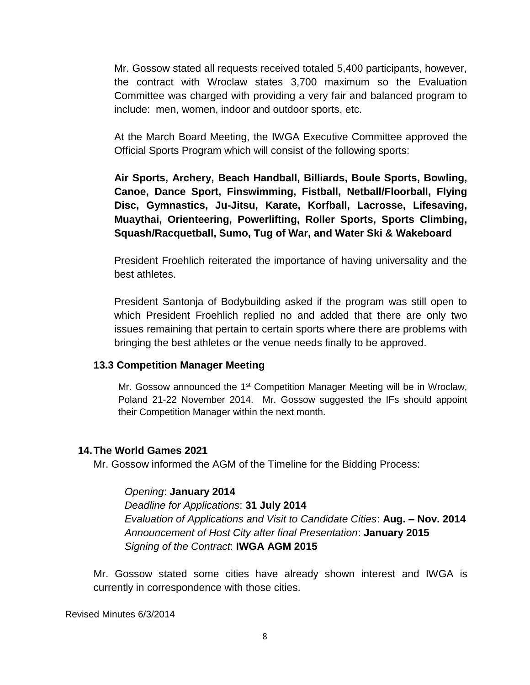Mr. Gossow stated all requests received totaled 5,400 participants, however, the contract with Wroclaw states 3,700 maximum so the Evaluation Committee was charged with providing a very fair and balanced program to include: men, women, indoor and outdoor sports, etc.

At the March Board Meeting, the IWGA Executive Committee approved the Official Sports Program which will consist of the following sports:

**Air Sports, Archery, Beach Handball, Billiards, Boule Sports, Bowling, Canoe, Dance Sport, Finswimming, Fistball, Netball/Floorball, Flying Disc, Gymnastics, Ju-Jitsu, Karate, Korfball, Lacrosse, Lifesaving, Muaythai, Orienteering, Powerlifting, Roller Sports, Sports Climbing, Squash/Racquetball, Sumo, Tug of War, and Water Ski & Wakeboard**

President Froehlich reiterated the importance of having universality and the best athletes.

President Santonja of Bodybuilding asked if the program was still open to which President Froehlich replied no and added that there are only two issues remaining that pertain to certain sports where there are problems with bringing the best athletes or the venue needs finally to be approved.

### **13.3 Competition Manager Meeting**

Mr. Gossow announced the 1<sup>st</sup> Competition Manager Meeting will be in Wroclaw, Poland 21-22 November 2014. Mr. Gossow suggested the IFs should appoint their Competition Manager within the next month.

### **14.The World Games 2021**

Mr. Gossow informed the AGM of the Timeline for the Bidding Process:

### *Opening*: **January 2014**

*Deadline for Applications*: **31 July 2014** *Evaluation of Applications and Visit to Candidate Cities*: **Aug. – Nov. 2014** *Announcement of Host City after final Presentation*: **January 2015** *Signing of the Contract*: **IWGA AGM 2015**

Mr. Gossow stated some cities have already shown interest and IWGA is currently in correspondence with those cities.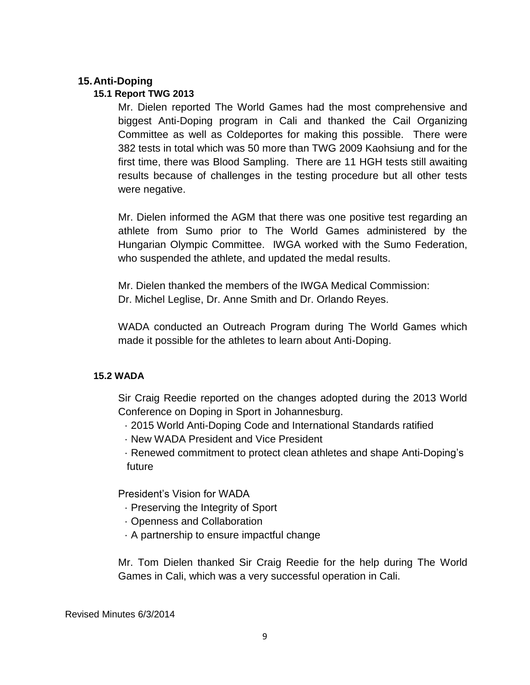# **15.Anti-Doping**

## **15.1 Report TWG 2013**

Mr. Dielen reported The World Games had the most comprehensive and biggest Anti-Doping program in Cali and thanked the Cail Organizing Committee as well as Coldeportes for making this possible. There were 382 tests in total which was 50 more than TWG 2009 Kaohsiung and for the first time, there was Blood Sampling. There are 11 HGH tests still awaiting results because of challenges in the testing procedure but all other tests were negative.

Mr. Dielen informed the AGM that there was one positive test regarding an athlete from Sumo prior to The World Games administered by the Hungarian Olympic Committee. IWGA worked with the Sumo Federation, who suspended the athlete, and updated the medal results.

Mr. Dielen thanked the members of the IWGA Medical Commission: Dr. Michel Leglise, Dr. Anne Smith and Dr. Orlando Reyes.

WADA conducted an Outreach Program during The World Games which made it possible for the athletes to learn about Anti-Doping.

### **15.2 WADA**

Sir Craig Reedie reported on the changes adopted during the 2013 World Conference on Doping in Sport in Johannesburg.

- · 2015 World Anti-Doping Code and International Standards ratified
- · New WADA President and Vice President

· Renewed commitment to protect clean athletes and shape Anti-Doping's future

President's Vision for WADA

- · Preserving the Integrity of Sport
- · Openness and Collaboration
- · A partnership to ensure impactful change

Mr. Tom Dielen thanked Sir Craig Reedie for the help during The World Games in Cali, which was a very successful operation in Cali.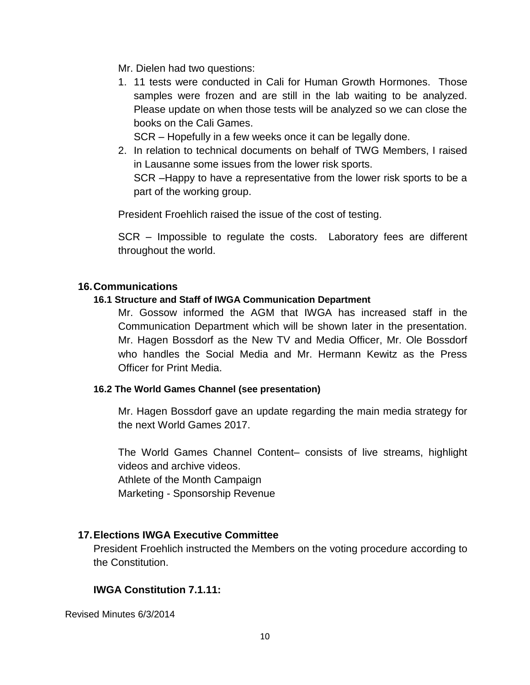Mr. Dielen had two questions:

1. 11 tests were conducted in Cali for Human Growth Hormones. Those samples were frozen and are still in the lab waiting to be analyzed. Please update on when those tests will be analyzed so we can close the books on the Cali Games.

SCR – Hopefully in a few weeks once it can be legally done.

2. In relation to technical documents on behalf of TWG Members, I raised in Lausanne some issues from the lower risk sports. SCR –Happy to have a representative from the lower risk sports to be a part of the working group.

President Froehlich raised the issue of the cost of testing.

SCR – Impossible to regulate the costs. Laboratory fees are different throughout the world.

## **16.Communications**

## **16.1 Structure and Staff of IWGA Communication Department**

Mr. Gossow informed the AGM that IWGA has increased staff in the Communication Department which will be shown later in the presentation. Mr. Hagen Bossdorf as the New TV and Media Officer, Mr. Ole Bossdorf who handles the Social Media and Mr. Hermann Kewitz as the Press Officer for Print Media.

### **16.2 The World Games Channel (see presentation)**

Mr. Hagen Bossdorf gave an update regarding the main media strategy for the next World Games 2017.

The World Games Channel Content– consists of live streams, highlight videos and archive videos. Athlete of the Month Campaign Marketing - Sponsorship Revenue

# **17.Elections IWGA Executive Committee**

President Froehlich instructed the Members on the voting procedure according to the Constitution.

# **IWGA Constitution 7.1.11:**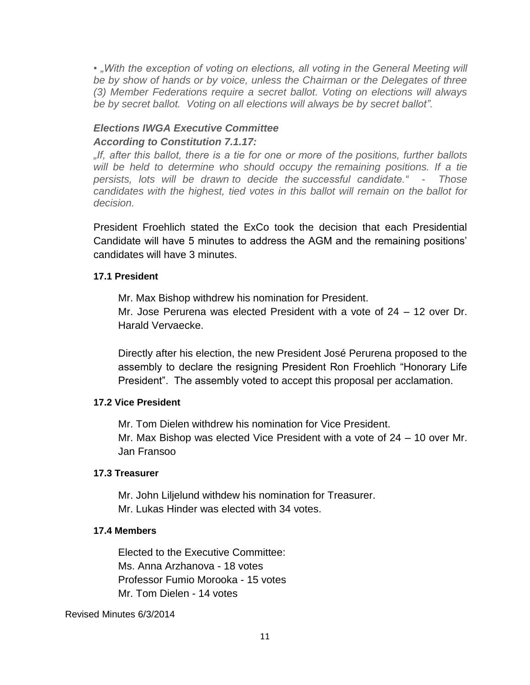• "With the exception of voting on elections, all voting in the General Meeting will *be by show of hands or by voice, unless the Chairman or the Delegates of three (3) Member Federations require a secret ballot. Voting on elections will always be by secret ballot. Voting on all elections will always be by secret ballot".*

# *Elections IWGA Executive Committee According to Constitution 7.1.17:*

*"If, after this ballot, there is a tie for one or more of the positions, further ballots will be held to determine who should occupy the remaining positions. If a tie persists, lots will be drawn to decide the successful candidate." - Those candidates with the highest, tied votes in this ballot will remain on the ballot for decision.*

President Froehlich stated the ExCo took the decision that each Presidential Candidate will have 5 minutes to address the AGM and the remaining positions' candidates will have 3 minutes.

# **17.1 President**

Mr. Max Bishop withdrew his nomination for President.

Mr. Jose Perurena was elected President with a vote of 24 – 12 over Dr. Harald Vervaecke.

Directly after his election, the new President José Perurena proposed to the assembly to declare the resigning President Ron Froehlich "Honorary Life President". The assembly voted to accept this proposal per acclamation.

# **17.2 Vice President**

Mr. Tom Dielen withdrew his nomination for Vice President. Mr. Max Bishop was elected Vice President with a vote of 24 – 10 over Mr. Jan Fransoo

# **17.3 Treasurer**

Mr. John Liljelund withdew his nomination for Treasurer. Mr. Lukas Hinder was elected with 34 votes.

# **17.4 Members**

Elected to the Executive Committee: Ms. Anna Arzhanova - 18 votes Professor Fumio Morooka - 15 votes Mr. Tom Dielen - 14 votes